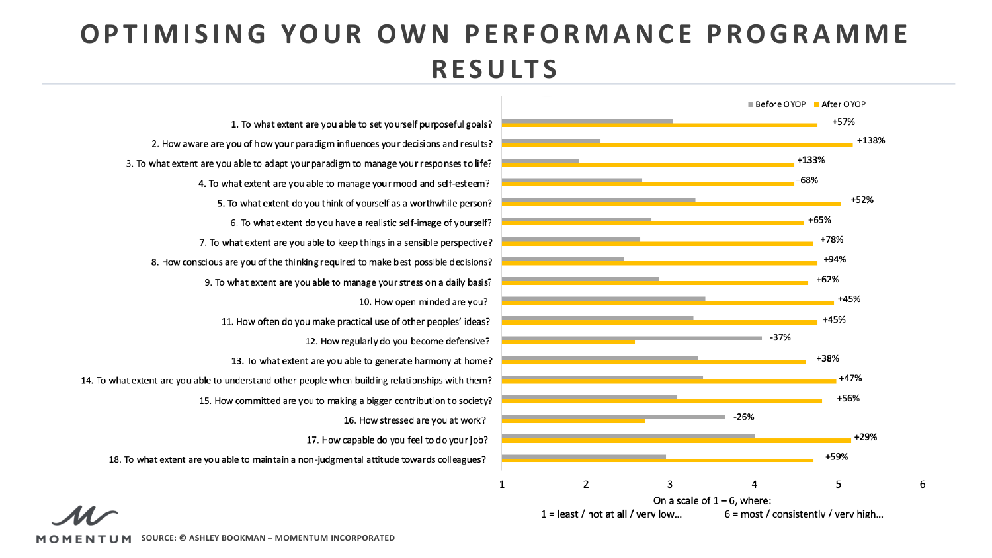## **OPTIMISING YOUR OWN PERFORMANCE PROGRAMME RESULTS**



6

1. To what extent are you able to set yourself purposeful goals? 2. How aware are you of how your paradigm influences your decisions and results? 3. To what extent are you able to adapt your paradigm to manage your responses to life? 4. To what extent are you able to manage your mood and self-esteem? 5. To what extent do you think of yourself as a worthwhile person? 6. To what extent do you have a realistic self-image of yourself? 7. To what extent are you able to keep things in a sensible perspective? 8. How conscious are you of the thinking required to make best possible decisions? 9. To what extent are you able to manage your stress on a daily basis? 10. How open minded are you? 11. How often do you make practical use of other peoples' ideas? 12. How regularly do you become defensive? 13. To what extent are you able to generate harmony at home? 14. To what extent are you able to understand other people when building relationships with them? 15. How committed are you to making a bigger contribution to society? 16. How stressed are you at work? 17. How capable do you feel to do your job? 18. To what extent are you able to maintain a non-judgmental attitude towards colleagues?

**SOURCE: © ASHLEY BOOKMAN – MOMENTUM INCORPORATED**